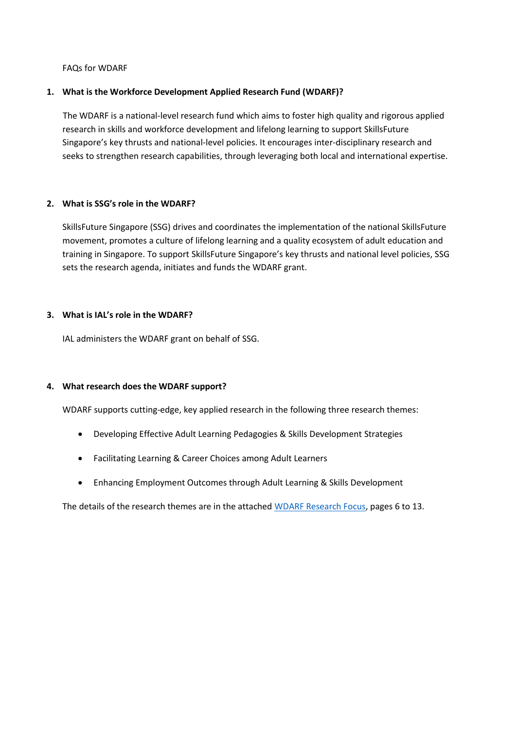FAQs for WDARF

### **1. What is the Workforce Development Applied Research Fund (WDARF)?**

 The WDARF is a national-level research fund which aims to foster high quality and rigorous applied research in skills and workforce development and lifelong learning to support SkillsFuture Singapore's key thrusts and national-level policies. It encourages inter-disciplinary research and seeks to strengthen research capabilities, through leveraging both local and international expertise.

### **2. What is SSG's role in the WDARF?**

SkillsFuture Singapore (SSG) drives and coordinates the implementation of the national SkillsFuture movement, promotes a culture of lifelong learning and a quality ecosystem of adult education and training in Singapore. To support SkillsFuture Singapore's key thrusts and national level policies, SSG sets the research agenda, initiates and funds the WDARF grant.

### **3. What is IAL's role in the WDARF?**

IAL administers the WDARF grant on behalf of SSG.

## **4. What research does the WDARF support?**

WDARF supports cutting-edge, key applied research in the following three research themes:

- Developing Effective Adult Learning Pedagogies & Skills Development Strategies
- Facilitating Learning & Career Choices among Adult Learners
- Enhancing Employment Outcomes through Adult Learning & Skills Development

The details of the research themes are in the attache[d WDARF Research Focus,](https://www.ial.edu.sg/content/dam/projects/tms/ial/Access-research/grants-and-schemes/wdarf-grant-call/2021-final/WDARF%20Research%20Focus%202021_Final.pdf) pages 6 to 13.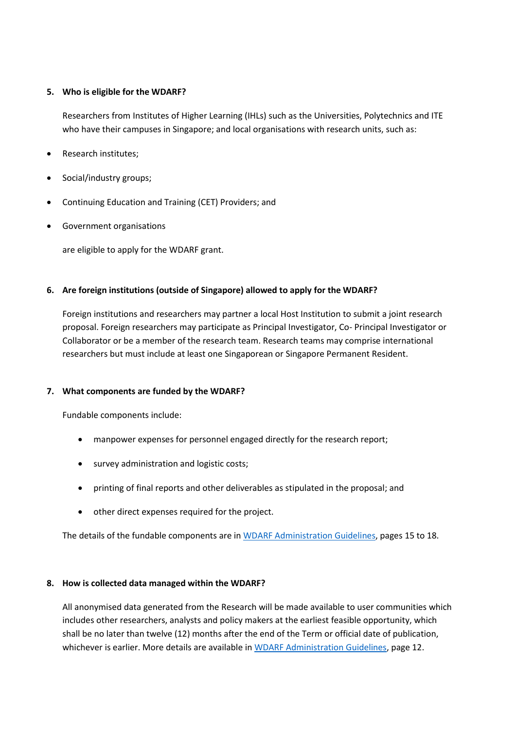### **5. Who is eligible for the WDARF?**

Researchers from Institutes of Higher Learning (IHLs) such as the Universities, Polytechnics and ITE who have their campuses in Singapore; and local organisations with research units, such as:

- Research institutes;
- Social/industry groups;
- Continuing Education and Training (CET) Providers; and
- Government organisations

are eligible to apply for the WDARF grant.

## **6. Are foreign institutions (outside of Singapore) allowed to apply for the WDARF?**

Foreign institutions and researchers may partner a local Host Institution to submit a joint research proposal. Foreign researchers may participate as Principal Investigator, Co- Principal Investigator or Collaborator or be a member of the research team. Research teams may comprise international researchers but must include at least one Singaporean or Singapore Permanent Resident.

## **7. What components are funded by the WDARF?**

Fundable components include:

- manpower expenses for personnel engaged directly for the research report;
- survey administration and logistic costs;
- printing of final reports and other deliverables as stipulated in the proposal; and
- other direct expenses required for the project.

The details of the fundable components are i[n WDARF Administration Guidelines,](https://www.ial.edu.sg/content/dam/projects/tms/ial/Access-research/grants-and-schemes/wdarf-grant-call/2021-final/2021_WDARF_AdminGuidelines_Final_V4.pdf) pages 15 to 18.

## **8. How is collected data managed within the WDARF?**

All anonymised data generated from the Research will be made available to user communities which includes other researchers, analysts and policy makers at the earliest feasible opportunity, which shall be no later than twelve (12) months after the end of the Term or official date of publication, whichever is earlier. More details are available i[n WDARF Administration Guidelines,](https://www.ial.edu.sg/content/dam/projects/tms/ial/Access-research/grants-and-schemes/wdarf-grant-call/2021-final/2021_WDARF_AdminGuidelines_Final_V4.pdf) page 12.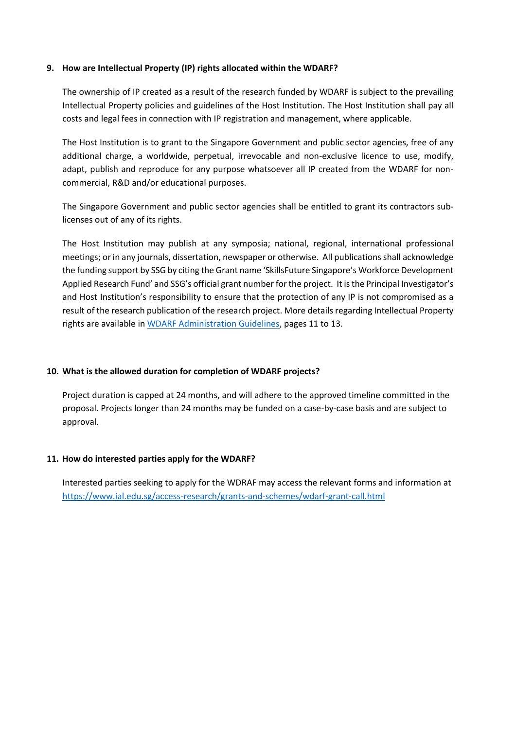#### **9. How are Intellectual Property (IP) rights allocated within the WDARF?**

The ownership of IP created as a result of the research funded by WDARF is subject to the prevailing Intellectual Property policies and guidelines of the Host Institution. The Host Institution shall pay all costs and legal fees in connection with IP registration and management, where applicable.

The Host Institution is to grant to the Singapore Government and public sector agencies, free of any additional charge, a worldwide, perpetual, irrevocable and non-exclusive licence to use, modify, adapt, publish and reproduce for any purpose whatsoever all IP created from the WDARF for noncommercial, R&D and/or educational purposes.

The Singapore Government and public sector agencies shall be entitled to grant its contractors sublicenses out of any of its rights.

The Host Institution may publish at any symposia; national, regional, international professional meetings; or in any journals, dissertation, newspaper or otherwise. All publications shall acknowledge the funding support by SSG by citing the Grant name 'SkillsFuture Singapore's Workforce Development Applied Research Fund' and SSG's official grant number for the project. It is the Principal Investigator's and Host Institution's responsibility to ensure that the protection of any IP is not compromised as a result of the research publication of the research project. More details regarding Intellectual Property rights are available i[n WDARF Administration Guidelines,](https://www.ial.edu.sg/content/dam/projects/tms/ial/Access-research/grants-and-schemes/wdarf-grant-call/2021-final/2021_WDARF_AdminGuidelines_Final_V4.pdf) pages 11 to 13.

## **10. What is the allowed duration for completion of WDARF projects?**

Project duration is capped at 24 months, and will adhere to the approved timeline committed in the proposal. Projects longer than 24 months may be funded on a case-by-case basis and are subject to approval.

## **11. How do interested parties apply for the WDARF?**

Interested parties seeking to apply for the WDRAF may access the relevant forms and information at <https://www.ial.edu.sg/access-research/grants-and-schemes/wdarf-grant-call.html>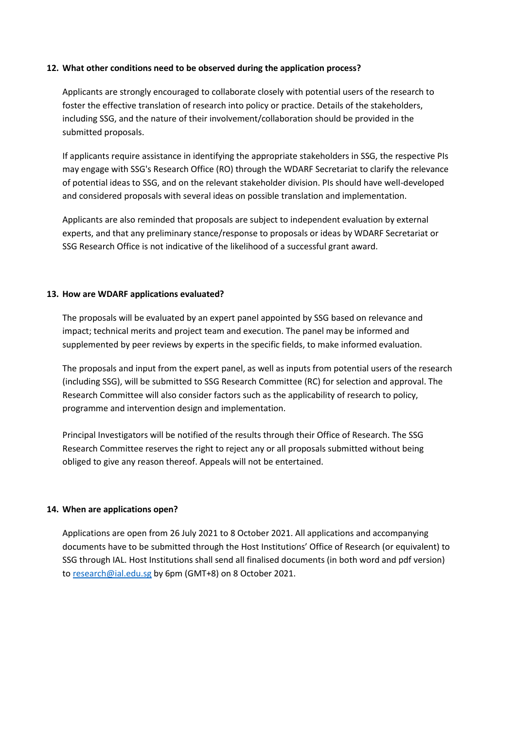#### **12. What other conditions need to be observed during the application process?**

Applicants are strongly encouraged to collaborate closely with potential users of the research to foster the effective translation of research into policy or practice. Details of the stakeholders, including SSG, and the nature of their involvement/collaboration should be provided in the submitted proposals.

If applicants require assistance in identifying the appropriate stakeholders in SSG, the respective PIs may engage with SSG's Research Office (RO) through the WDARF Secretariat to clarify the relevance of potential ideas to SSG, and on the relevant stakeholder division. PIs should have well-developed and considered proposals with several ideas on possible translation and implementation.

Applicants are also reminded that proposals are subject to independent evaluation by external experts, and that any preliminary stance/response to proposals or ideas by WDARF Secretariat or SSG Research Office is not indicative of the likelihood of a successful grant award.

### **13. How are WDARF applications evaluated?**

The proposals will be evaluated by an expert panel appointed by SSG based on relevance and impact; technical merits and project team and execution. The panel may be informed and supplemented by peer reviews by experts in the specific fields, to make informed evaluation.

The proposals and input from the expert panel, as well as inputs from potential users of the research (including SSG), will be submitted to SSG Research Committee (RC) for selection and approval. The Research Committee will also consider factors such as the applicability of research to policy, programme and intervention design and implementation.

Principal Investigators will be notified of the results through their Office of Research. The SSG Research Committee reserves the right to reject any or all proposals submitted without being obliged to give any reason thereof. Appeals will not be entertained.

#### **14. When are applications open?**

Applications are open from 26 July 2021 to 8 October 2021. All applications and accompanying documents have to be submitted through the Host Institutions' Office of Research (or equivalent) to SSG through IAL. Host Institutions shall send all finalised documents (in both word and pdf version) to [research@ial.edu.sg](mailto:research@ial.edu.sg) by 6pm (GMT+8) on 8 October 2021.